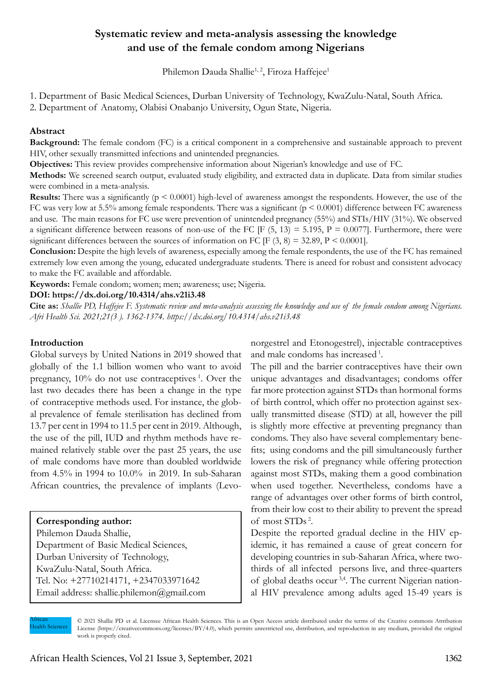## **Systematic review and meta-analysis assessing the knowledge and use of the female condom among Nigerians**

Philemon Dauda Shallie<sup>1, 2</sup>, Firoza Haffejee<sup>1</sup>

1. Department of Basic Medical Sciences, Durban University of Technology, KwaZulu-Natal, South Africa.

2. Department of Anatomy, Olabisi Onabanjo University, Ogun State, Nigeria.

#### **Abstract**

**Background:** The female condom (FC) is a critical component in a comprehensive and sustainable approach to prevent HIV, other sexually transmitted infections and unintended pregnancies.

**Objectives:** This review provides comprehensive information about Nigerian's knowledge and use of FC.

**Methods:** We screened search output, evaluated study eligibility, and extracted data in duplicate. Data from similar studies were combined in a meta-analysis.

**Results:** There was a significantly ( $p < 0.0001$ ) high-level of awareness amongst the respondents. However, the use of the FC was very low at 5.5% among female respondents. There was a significant ( $p \le 0.0001$ ) difference between FC awareness and use. The main reasons for FC use were prevention of unintended pregnancy (55%) and STIs/HIV (31%). We observed a significant difference between reasons of non-use of the FC  $[F (5, 13) = 5.195, P = 0.0077]$ . Furthermore, there were significant differences between the sources of information on FC  $[F(3, 8) = 32.89, P \le 0.0001]$ .

**Conclusion:** Despite the high levels of awareness, especially among the female respondents, the use of the FC has remained extremely low even among the young, educated undergraduate students. There is aneed for robust and consistent advocacy to make the FC available and affordable.

**Keywords:** Female condom; women; men; awareness; use; Nigeria.

#### **DOI: https://dx.doi.org/10.4314/ahs.v21i3.48**

**Cite as:** *Shallie PD, Haffejee F. Systematic review and meta-analysis assessing the knowledge and use of the female condom among Nigerians. Afri Health Sci. 2021;21(3 ). 1362-1374. https://dx.doi.org/10.4314/ahs.v21i3.48*

#### **Introduction**

Global surveys by United Nations in 2019 showed that globally of the 1.1 billion women who want to avoid pregnancy,  $10\%$  do not use contraceptives  $\frac{1}{1}$ . Over the last two decades there has been a change in the type of contraceptive methods used. For instance, the global prevalence of female sterilisation has declined from 13.7 per cent in 1994 to 11.5 per cent in 2019. Although, the use of the pill, IUD and rhythm methods have remained relatively stable over the past 25 years, the use of male condoms have more than doubled worldwide from 4.5% in 1994 to 10.0% in 2019. In sub-Saharan African countries, the prevalence of implants (Levo-

**Corresponding author:** Philemon Dauda Shallie, Department of Basic Medical Sciences, Durban University of Technology, KwaZulu-Natal, South Africa. Tel. No: +27710214171, +2347033971642 Email address: shallie.philemon@gmail.com norgestrel and Etonogestrel), injectable contraceptives and male condoms has increased 1.

The pill and the barrier contraceptives have their own unique advantages and disadvantages; condoms offer far more protection against STDs than hormonal forms of birth control, which offer no protection against sexually transmitted disease (STD) at all, however the pill is slightly more effective at preventing pregnancy than condoms. They also have several complementary benefits; using condoms and the pill simultaneously further lowers the risk of pregnancy while offering protection against most STDs, making them a good combination when used together. Nevertheless, condoms have a range of advantages over other forms of birth control, from their low cost to their ability to prevent the spread of most STDs 2.

Despite the reported gradual decline in the HIV epidemic, it has remained a cause of great concern for developing countries in sub-Saharan Africa, where twothirds of all infected persons live, and three-quarters of global deaths occur<sup>3,4</sup>. The current Nigerian national HIV prevalence among adults aged 15-49 years is

African Health Sciences

© 2021 Shallie PD et al. Licensee African Health Sciences. This is an Open Access article distributed under the terms of the Creative commons Attribution License (https://creativecommons.org/licenses/BY/4.0), which permits unrestricted use, distribution, and reproduction in any medium, provided the original work is properly cited.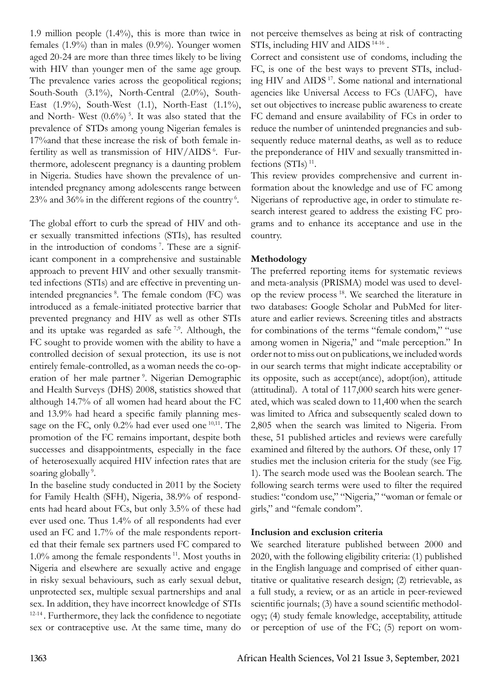1.9 million people (1.4%), this is more than twice in females (1.9%) than in males (0.9%). Younger women aged 20-24 are more than three times likely to be living with HIV than younger men of the same age group. The prevalence varies across the geopolitical regions; South-South (3.1%), North-Central (2.0%), South-East (1.9%), South-West (1.1), North-East (1.1%), and North- West  $(0.6\%)$ <sup>5</sup>. It was also stated that the prevalence of STDs among young Nigerian females is 17%and that these increase the risk of both female infertility as well as transmission of HIV/AIDS<sup>6</sup>. Furthermore, adolescent pregnancy is a daunting problem in Nigeria. Studies have shown the prevalence of unintended pregnancy among adolescents range between 23% and 36% in the different regions of the country 6.

The global effort to curb the spread of HIV and other sexually transmitted infections (STIs), has resulted in the introduction of condoms 7. These are a significant component in a comprehensive and sustainable approach to prevent HIV and other sexually transmitted infections (STIs) and are effective in preventing unintended pregnancies <sup>8</sup>. The female condom (FC) was introduced as a female-initiated protective barrier that prevented pregnancy and HIV as well as other STIs and its uptake was regarded as safe  $7.9$ . Although, the FC sought to provide women with the ability to have a controlled decision of sexual protection, its use is not entirely female-controlled, as a woman needs the co-operation of her male partner<sup>9</sup>. Nigerian Demographic and Health Surveys (DHS) 2008, statistics showed that although 14.7% of all women had heard about the FC and 13.9% had heard a specific family planning message on the FC, only 0.2% had ever used one <sup>10,11</sup>. The promotion of the FC remains important, despite both successes and disappointments, especially in the face of heterosexually acquired HIV infection rates that are soaring globally<sup>9</sup>.

In the baseline study conducted in 2011 by the Society for Family Health (SFH), Nigeria, 38.9% of respondents had heard about FCs, but only 3.5% of these had ever used one. Thus 1.4% of all respondents had ever used an FC and 1.7% of the male respondents reported that their female sex partners used FC compared to 1.0% among the female respondents 11. Most youths in Nigeria and elsewhere are sexually active and engage in risky sexual behaviours, such as early sexual debut, unprotected sex, multiple sexual partnerships and anal sex. In addition, they have incorrect knowledge of STIs 12-14 . Furthermore, they lack the confidence to negotiate sex or contraceptive use. At the same time, many do

not perceive themselves as being at risk of contracting STIs, including HIV and AIDS<sup>14-16</sup>.

Correct and consistent use of condoms, including the FC, is one of the best ways to prevent STIs, including HIV and AIDS<sup>17</sup>. Some national and international agencies like Universal Access to FCs (UAFC), have set out objectives to increase public awareness to create FC demand and ensure availability of FCs in order to reduce the number of unintended pregnancies and subsequently reduce maternal deaths, as well as to reduce the preponderance of HIV and sexually transmitted infections  $(STIs)$ <sup>11</sup>.

This review provides comprehensive and current information about the knowledge and use of FC among Nigerians of reproductive age, in order to stimulate research interest geared to address the existing FC programs and to enhance its acceptance and use in the country.

## **Methodology**

The preferred reporting items for systematic reviews and meta-analysis (PRISMA) model was used to develop the review process<sup>18</sup>. We searched the literature in two databases: Google Scholar and PubMed for literature and earlier reviews. Screening titles and abstracts for combinations of the terms "female condom," "use among women in Nigeria," and "male perception." In order not to miss out on publications, we included words in our search terms that might indicate acceptability or its opposite, such as accept(ance), adopt(ion), attitude (attitudinal). A total of 117,000 search hits were generated, which was scaled down to 11,400 when the search was limited to Africa and subsequently scaled down to 2,805 when the search was limited to Nigeria. From these, 51 published articles and reviews were carefully examined and filtered by the authors. Of these, only 17 studies met the inclusion criteria for the study (see Fig. 1). The search mode used was the Boolean search. The following search terms were used to filter the required studies: "condom use," "Nigeria," "woman or female or girls," and "female condom".

#### **Inclusion and exclusion criteria**

We searched literature published between 2000 and 2020, with the following eligibility criteria: (1) published in the English language and comprised of either quantitative or qualitative research design; (2) retrievable, as a full study, a review, or as an article in peer-reviewed scientific journals; (3) have a sound scientific methodology; (4) study female knowledge, acceptability, attitude or perception of use of the FC; (5) report on wom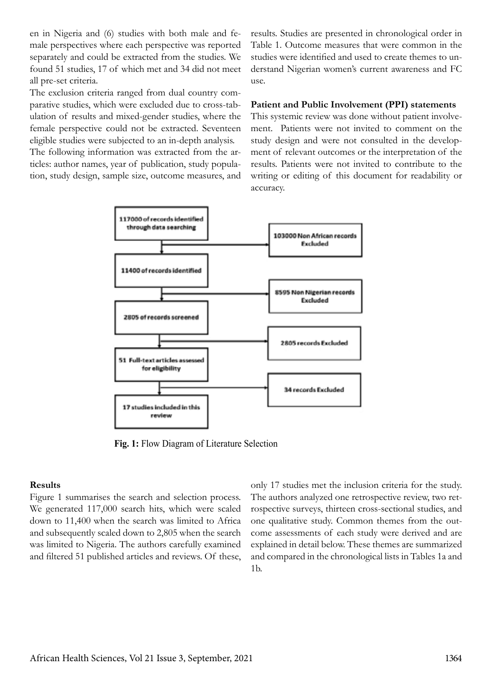en in Nigeria and (6) studies with both male and female perspectives where each perspective was reported separately and could be extracted from the studies. We found 51 studies, 17 of which met and 34 did not meet all pre-set criteria.

The exclusion criteria ranged from dual country comparative studies, which were excluded due to cross-tabulation of results and mixed-gender studies, where the female perspective could not be extracted. Seventeen eligible studies were subjected to an in-depth analysis.

The following information was extracted from the articles: author names, year of publication, study population, study design, sample size, outcome measures, and

results. Studies are presented in chronological order in Table 1. Outcome measures that were common in the studies were identified and used to create themes to understand Nigerian women's current awareness and FC use.

#### **Patient and Public Involvement (PPI) statements**

This systemic review was done without patient involvement. Patients were not invited to comment on the study design and were not consulted in the development of relevant outcomes or the interpretation of the results. Patients were not invited to contribute to the writing or editing of this document for readability or accuracy.



**Fig. 1:** Flow Diagram of Literature Selection

#### **Results**

Figure 1 summarises the search and selection process. We generated 117,000 search hits, which were scaled down to 11,400 when the search was limited to Africa and subsequently scaled down to 2,805 when the search was limited to Nigeria. The authors carefully examined and filtered 51 published articles and reviews. Of these,

only 17 studies met the inclusion criteria for the study. The authors analyzed one retrospective review, two retrospective surveys, thirteen cross-sectional studies, and one qualitative study. Common themes from the outcome assessments of each study were derived and are explained in detail below. These themes are summarized and compared in the chronological lists in Tables 1a and 1b.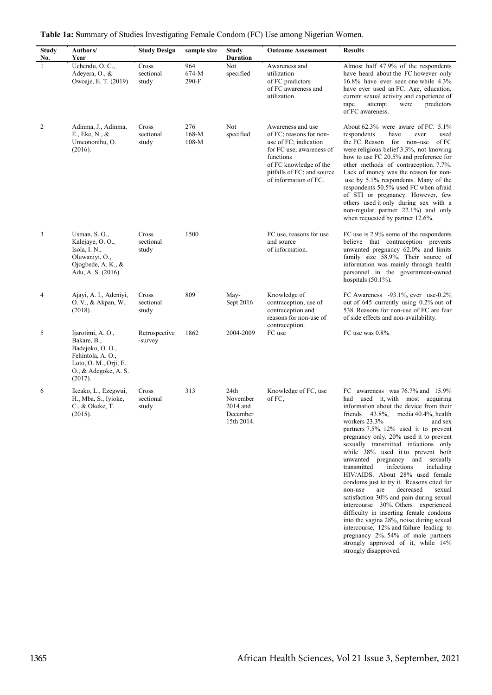| <b>Study</b><br>No. | Authors/<br>Year                                                                                                                    | <b>Study Design</b>         | sample size               | <b>Study</b><br><b>Duration</b>                          | <b>Outcome Assessment</b>                                                                                                                                                                       | <b>Results</b>                                                                                                                                                                                                                                                                                                                                                                                                                                                                                                                                                                                        |  |  |  |  |
|---------------------|-------------------------------------------------------------------------------------------------------------------------------------|-----------------------------|---------------------------|----------------------------------------------------------|-------------------------------------------------------------------------------------------------------------------------------------------------------------------------------------------------|-------------------------------------------------------------------------------------------------------------------------------------------------------------------------------------------------------------------------------------------------------------------------------------------------------------------------------------------------------------------------------------------------------------------------------------------------------------------------------------------------------------------------------------------------------------------------------------------------------|--|--|--|--|
| 1                   | Uchendu, O. C.,<br>Adeyera, O., &<br>Owoaje, E. T. (2019)                                                                           | Cross<br>sectional<br>study | 964<br>674-M<br>$290-F$   | Not<br>specified                                         | Awareness and<br>utilization<br>of FC predictors<br>of FC awareness and<br>utilization.                                                                                                         | Almost half 47.9% of the respondents<br>have heard about the FC however only<br>16.8% have ever seen one while 4.3%<br>have ever used an FC. Age, education,<br>current sexual activity and experience of<br>predictors<br>rape<br>attempt<br>were<br>of FC awareness.                                                                                                                                                                                                                                                                                                                                |  |  |  |  |
| 2                   | Adinma, J., Adinma,<br>E., Eke, N., &<br>Umeononihu, O.<br>(2016).                                                                  | Cross<br>sectional<br>study | 276<br>$168-M$<br>$108-M$ | Not<br>specified                                         | Awareness and use<br>of FC; reasons for non-<br>use of FC; indication<br>for FC use; awareness of<br>functions<br>of FC knowledge of the<br>pitfalls of FC; and source<br>of information of FC. | About $62.3\%$ were aware of FC. $5.1\%$<br>respondents<br>have<br>used<br>ever<br>the FC. Reason for non-use<br>of FC<br>were religious belief 3.3%, not knowing<br>how to use FC 20.5% and preference for<br>other methods of contraception. 7.7%.<br>Lack of money was the reason for non-<br>use by 5.1% respondents. Many of the<br>respondents 50.5% used FC when afraid<br>of STI or pregnancy. However, few<br>others used it only during sex with a<br>non-regular partner 22.1%) and only<br>when requested by partner 12.6%.                                                               |  |  |  |  |
| 3                   | Usman, S.O.,<br>Kalejaye, O.O.,<br>Isola, I. N.,<br>Oluwaniyi, O.,<br>Ojogbede, A. K., $\&$<br>Adu, A. S. (2016)                    | Cross<br>sectional<br>study | 1500                      |                                                          | FC use, reasons for use<br>and source<br>of information.                                                                                                                                        | FC use is 2.9% some of the respondents<br>believe that contraception prevents<br>unwanted pregnancy 62.0% and limits<br>family size 58.9%. Their source of<br>information was mainly through health<br>personnel in the government-owned<br>hospitals $(50.1\%)$ .                                                                                                                                                                                                                                                                                                                                    |  |  |  |  |
| 4                   | Ajayi, A. I., Adeniyi,<br>O. V., & Akpan, W.<br>(2018).                                                                             | Cross<br>sectional<br>study | 809                       | May-<br>Sept 2016                                        | Knowledge of<br>contraception, use of<br>contraception and<br>reasons for non-use of<br>contraception.                                                                                          | FC Awareness -93.1%, ever use-0.2%<br>out of 645 currently using 0.2% out of<br>538. Reasons for non-use of FC are fear<br>of side effects and non-availability.                                                                                                                                                                                                                                                                                                                                                                                                                                      |  |  |  |  |
| 5                   | Ijarotimi, A. O.,<br>Bakare, B.,<br>Badejoko, O.O.,<br>Fehintola, A.O.,<br>Loto, O. M., Orji, E.<br>O., & Adegoke, A. S.<br>(2017). | Retrospective<br>-survey    | 1862                      | 2004-2009                                                | FC use                                                                                                                                                                                          | FC use was 0.8%.                                                                                                                                                                                                                                                                                                                                                                                                                                                                                                                                                                                      |  |  |  |  |
| 6                   | Ikeako, L., Ezegwui,<br>H., Mba, S., Iyioke,<br>C., & Okeke, T.<br>(2015).                                                          | Cross<br>sectional<br>study | 313                       | 24th<br>November<br>$2014$ and<br>December<br>15th 2014. | Knowledge of FC, use<br>of FC,                                                                                                                                                                  | FC awareness was 76.7% and 15.9%<br>used it, with most acquiring<br>had<br>information about the device from their<br>friends 43.8%, media 40.4%, health<br>workers 23.3%<br>and sex<br>partners 7.5%. 12% used it to prevent<br>pregnancy only, 20% used it to prevent<br>sexually transmitted infections only<br>while 38% used it to prevent both<br>unwanted pregnancy and sexually<br>infections<br>transmitted<br>including<br>HIV/AIDS. About 28% used female<br>condoms just to try it. Reasons cited for<br>decreased<br>non-use<br>are<br>sexual<br>satisfaction 30% and pain during sexual |  |  |  |  |

**Table 1a: Summary of Studies Investigating Female Condom (FC) Use among Nigerian Women.** Table 1a: Summary of Studies Investigating Female Condom (FC) Use among Nigerian Women.

non-use are decreased sexual satisfaction 30% and pain during sexual intercourse 30%. Others experienced difficulty in inserting female condoms into the vagina 28%, noise during sexual intercourse, 12% and failure leading to pregnancy 2%. 54% of male partners strongly approved of it, while 14% strongly disapproved.

intercourse 30%. Others experienced difficulty in inserting female condoms into the vagina 28%, noise during sexual intercourse, 12% and failure leading to pregnancy 2%. 54% of male partners

strongly approved of it, while 14% strongly disapproved.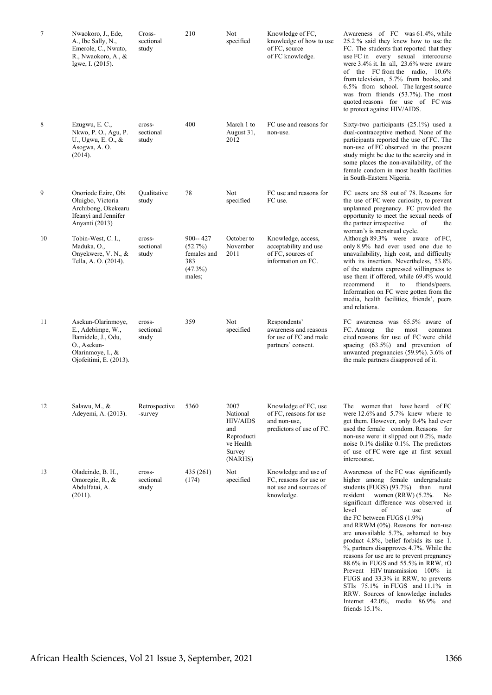| 7  | Nwaokoro, J., Ede,<br>A., Ibe Sally, N.,<br>Emerole, C., Nwuto,<br>R., Nwaokoro, A., &<br>Igwe, I. (2015).                  | Cross-<br>sectional<br>study | 210                                                                  | Not<br>specified                                                                           | Knowledge of FC,<br>knowledge of how to use<br>of FC, source<br>of FC knowledge.           | Awareness of FC was 61.4%, while<br>25.2 % said they knew how to use the<br>FC. The students that reported that they<br>use FC in every sexual intercourse<br>were 3.4% it. In all, 23.6% were aware<br>of the FC from the radio, 10.6%<br>from television, 5.7% from books, and<br>6.5% from school. The largest source<br>was from friends (53.7%). The most<br>quoted reasons for use of FC was<br>to protect against HIV/AIDS.                                                                                                                                                                                                                                                                                                     |
|----|-----------------------------------------------------------------------------------------------------------------------------|------------------------------|----------------------------------------------------------------------|--------------------------------------------------------------------------------------------|--------------------------------------------------------------------------------------------|----------------------------------------------------------------------------------------------------------------------------------------------------------------------------------------------------------------------------------------------------------------------------------------------------------------------------------------------------------------------------------------------------------------------------------------------------------------------------------------------------------------------------------------------------------------------------------------------------------------------------------------------------------------------------------------------------------------------------------------|
| 8  | Ezugwu, E. C.,<br>Nkwo, P. O., Agu, P.<br>U., Ugwu, E.O., &<br>Asogwa, A.O.<br>(2014).                                      | cross-<br>sectional<br>study | 400                                                                  | March 1 to<br>August 31,<br>2012                                                           | FC use and reasons for<br>non-use.                                                         | Sixty-two participants $(25.1\%)$ used a<br>dual-contraceptive method. None of the<br>participants reported the use of FC. The<br>non-use of FC observed in the present<br>study might be due to the scarcity and in<br>some places the non-availability, of the<br>female condom in most health facilities<br>in South-Eastern Nigeria.                                                                                                                                                                                                                                                                                                                                                                                               |
| 9  | Onoriode Ezire, Obi<br>Oluigbo, Victoria<br>Archibong, Okekearu<br>Ifeanyi and Jennifer<br>Anyanti (2013)                   | Qualitative<br>study         | 78                                                                   | Not<br>specified                                                                           | FC use and reasons for<br>FC use.                                                          | FC users are 58 out of 78. Reasons for<br>the use of FC were curiosity, to prevent<br>unplanned pregnancy. FC provided the<br>opportunity to meet the sexual needs of<br>the partner irrespective<br>of<br>the<br>woman's is menstrual cycle.                                                                                                                                                                                                                                                                                                                                                                                                                                                                                          |
| 10 | Tobin-West, C. I.,<br>Maduka, O.,<br>Onyekwere, V. N., &<br>Tella, A. O. (2014).                                            | cross-<br>sectional<br>study | $900 - 427$<br>(52.7%)<br>females and<br>383<br>$(47.3\%)$<br>males; | October to<br>November<br>2011                                                             | Knowledge, access,<br>acceptability and use<br>of FC, sources of<br>information on FC.     | Although 89.3% were aware of FC,<br>only 8.9% had ever used one due to<br>unavailability, high cost, and difficulty<br>with its insertion. Nevertheless, 53.8%<br>of the students expressed willingness to<br>use them if offered, while 69.4% would<br>recommend<br>it<br>to<br>friends/peers.<br>Information on FC were gotten from the<br>media, health facilities, friends', peers<br>and relations.                                                                                                                                                                                                                                                                                                                               |
| 11 | Asekun-Olarinmoye,<br>E., Adebimpe, W.,<br>Bamidele, J., Odu,<br>O., Asekun-<br>Olarinmoye, I., &<br>Ojofeitimi, E. (2013). | cross-<br>sectional<br>study | 359                                                                  | Not<br>specified                                                                           | Respondents'<br>awareness and reasons<br>for use of FC and male<br>partners' consent.      | FC awareness was 65.5% aware of<br>FC. Among<br>the<br>most<br>common<br>cited reasons for use of FC were child<br>spacing (63.5%) and prevention of<br>unwanted pregnancies $(59.9\%)$ . 3.6% of<br>the male partners disapproved of it.                                                                                                                                                                                                                                                                                                                                                                                                                                                                                              |
| 12 | Salawu, M., &<br>Adeyemi, A. (2013).                                                                                        | Retrospective<br>-survey     | 5360                                                                 | 2007<br>National<br><b>HIV/AIDS</b><br>and<br>Reproducti<br>ve Health<br>Survey<br>(NARHS) | Knowledge of FC, use<br>of FC, reasons for use<br>and non-use,<br>predictors of use of FC. | The women that have heard of FC<br>were $12.6\%$ and $5.7\%$ knew where to<br>get them. However, only 0.4% had ever<br>used the female condom. Reasons for<br>non-use were: it slipped out 0.2%, made<br>noise $0.1\%$ dislike $0.1\%$ . The predictors<br>of use of FC were age at first sexual<br>intercourse.                                                                                                                                                                                                                                                                                                                                                                                                                       |
| 13 | Oladeinde, B. H.,<br>Omoregie, R., &<br>Abdulfatai, A.<br>(2011).                                                           | cross-<br>sectional<br>study | 435 (261)<br>(174)                                                   | Not<br>specified                                                                           | Knowledge and use of<br>FC, reasons for use or<br>not use and sources of<br>knowledge.     | Awareness of the FC was significantly<br>higher among female undergraduate<br>students (FUGS) (93.7%) than rural<br>resident women (RRW) (5.2%.<br>No<br>significant difference was observed in<br>of<br>level<br>of<br>use<br>the FC between FUGS (1.9%)<br>and RRWM $(0\%)$ . Reasons for non-use<br>are unavailable 5.7%, ashamed to buy<br>product 4.8%, belief forbids its use 1.<br>%, partners disapproves 4.7%. While the<br>reasons for use are to prevent pregnancy<br>88.6% in FUGS and 55.5% in RRW, tO<br>Prevent HIV transmission 100% in<br>FUGS and 33.3% in RRW, to prevents<br>STIs 75.1% in FUGS and 11.1% in<br>RRW. Sources of knowledge includes<br>Internet $42.0\%$ , media $86.9\%$ and<br>friends $15.1\%$ . |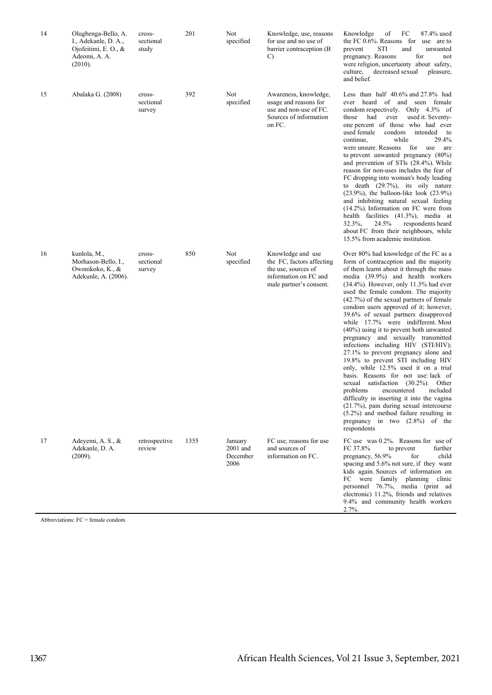| 14 | Olugbenga-Bello, A.<br>I., Adekanle, D. A.,<br>Ojofeitimi, E. O., $\&$<br>Adeomi, A. A.<br>(2010). | cross-<br>sectional<br>study  | 201  | Not<br>specified                        | Knowledge, use, reasons<br>for use and no use of<br>barrier contraception (B)<br>C)                                       | of<br>FC<br>87.4% used<br>Knowledge<br>the FC 0.6%. Reasons for use are to<br>STI<br>prevent<br>and<br>unwanted<br>for<br>pregnancy. Reasons<br>not<br>were religion, uncertainty about safety,<br>culture,<br>decreased sexual<br>pleasure,<br>and belief.                                                                                                                                                                                                                                                                                                                                                                                                                                                                                                                                                                                                                                                                                                                                   |
|----|----------------------------------------------------------------------------------------------------|-------------------------------|------|-----------------------------------------|---------------------------------------------------------------------------------------------------------------------------|-----------------------------------------------------------------------------------------------------------------------------------------------------------------------------------------------------------------------------------------------------------------------------------------------------------------------------------------------------------------------------------------------------------------------------------------------------------------------------------------------------------------------------------------------------------------------------------------------------------------------------------------------------------------------------------------------------------------------------------------------------------------------------------------------------------------------------------------------------------------------------------------------------------------------------------------------------------------------------------------------|
| 15 | Abalaka G. (2008)                                                                                  | cross-<br>sectional<br>survey | 392  | Not<br>specified                        | Awareness, knowledge,<br>usage and reasons for<br>use and non-use of FC.<br>Sources of information<br>on FC.              | Less than half $40.6\%$ and $27.8\%$ had<br>ever heard of and seen female<br>condom respectively. Only 4.3% of<br>had<br>ever<br>used it. Seventy-<br>those<br>one percent of those who had ever<br>used female<br>condom<br>intended<br>to<br>while<br>29.4%<br>continue.<br>were unsure. Reasons<br>for<br>are<br>use<br>to prevent unwanted pregnancy $(80\%)$<br>and prevention of STIs (28.4%). While<br>reason for non-uses includes the fear of<br>FC dropping into woman's body leading<br>to death (29.7%), its oily nature<br>$(23.9\%)$ , the balloon-like look $(23.9\%)$<br>and inhibiting natural sexual feeling<br>$(14.2\%)$ . Information on FC were from<br>health facilities (41.3%), media at<br>$32.3\%$ ,<br>24.5%<br>respondents heard<br>about FC from their neighbours, while<br>15.5% from academic institution.                                                                                                                                                    |
| 16 | kunlola, M.,<br>Morhason-Bello, I.,<br>Owonikoko, K., &<br>Adekunle, A. (2006).                    | cross-<br>sectional<br>survey | 850  | Not<br>specified                        | Knowledge and use<br>the FC, factors affecting<br>the use, sources of<br>information on FC and<br>male partner's consent. | Over 80% had knowledge of the FC as a<br>form of contraception and the majority<br>of them learnt about it through the mass<br>media (39.9%) and health workers<br>$(34.4\%)$ . However, only 11.3% had ever<br>used the female condom. The majority<br>$(42.7%)$ of the sexual partners of female<br>condom users approved of it; however,<br>39.6% of sexual partners disapproved<br>while 17.7% were indifferent. Most<br>$(40\%)$ using it to prevent both unwanted<br>pregnancy and sexually transmitted<br>infections including HIV (STI/HIV);<br>27.1% to prevent pregnancy alone and<br>19.8% to prevent STI including HIV<br>only, while 12.5% used it on a trial<br>basis. Reasons for not use lack of<br>satisfaction (30.2%). Other<br>sexual<br>problems<br>encountered<br>included<br>difficulty in inserting it into the vagina<br>$(21.7%)$ , pain during sexual intercourse<br>$(5.2\%)$ and method failure resulting in<br>pregnancy in two $(2.8\%)$ of the<br>respondents |
| 17 | Adeyemi, A. S., &<br>Adekanle, D. A.<br>(2009).                                                    | retrospective<br>review       | 1355 | January<br>2001 and<br>December<br>2006 | FC use, reasons for use<br>and sources of<br>information on FC.                                                           | FC use was $0.2\%$ . Reasons for use of<br>FC 37.8%<br>to prevent<br>further<br>pregnancy, 56.9%<br>for<br>child<br>spacing and 5.6% not sure, if they want<br>kids again. Sources of information on<br>FC were family planning clinic<br>personnel 76.7%, media (print ad<br>electronic) 11.2%, friends and relatives<br>9.4% and community health workers<br>2.7%                                                                                                                                                                                                                                                                                                                                                                                                                                                                                                                                                                                                                           |

Abbreviations:  $FC = female condom$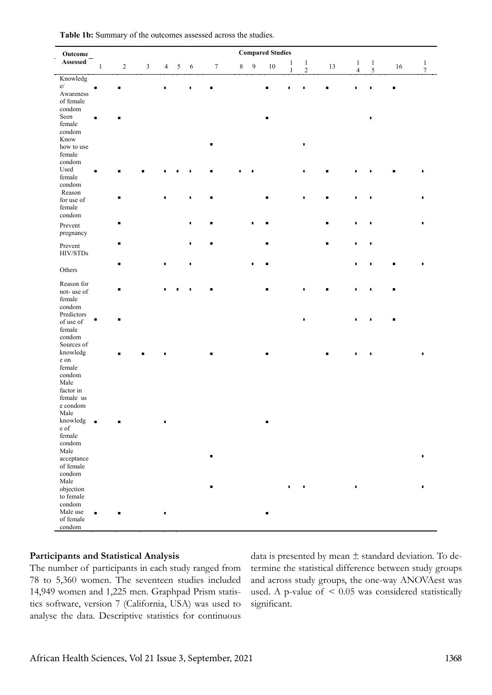| Outcome                 |                |                |                         |                |                |                |                  |         |                | <b>Compared Studies</b> |              |                                |                |                                |                                       |    |                                  |
|-------------------------|----------------|----------------|-------------------------|----------------|----------------|----------------|------------------|---------|----------------|-------------------------|--------------|--------------------------------|----------------|--------------------------------|---------------------------------------|----|----------------------------------|
| $\bf Assessed$          | $\mathbf{1}$   | $\sqrt{2}$     | $\overline{\mathbf{3}}$ | $\overline{4}$ | $\overline{5}$ | 6              | $\boldsymbol{7}$ | $\,8\,$ | 9              | $10\,$                  | $\mathbf{1}$ | $\mathbf{1}$<br>$\overline{c}$ | 13             | $\mathbf{1}$<br>$\overline{4}$ | $\begin{array}{c} 1 \\ 5 \end{array}$ | 16 | $\mathbf{1}$<br>$\boldsymbol{7}$ |
| Knowledg                |                |                |                         |                |                |                |                  |         |                |                         | $\mathbf{1}$ |                                |                |                                |                                       |    |                                  |
| e/                      | $\blacksquare$ |                |                         | п              |                | П              |                  |         |                | ٠                       | П            |                                | ٠              | I.                             | ٠                                     | ٠  |                                  |
| Awareness               |                |                |                         |                |                |                |                  |         |                |                         |              |                                |                |                                |                                       |    |                                  |
| of female               |                |                |                         |                |                |                |                  |         |                |                         |              |                                |                |                                |                                       |    |                                  |
| condom                  |                |                |                         |                |                |                |                  |         |                |                         |              |                                |                |                                |                                       |    |                                  |
| Seen                    | $\blacksquare$ |                |                         |                |                |                |                  |         |                |                         |              |                                |                |                                |                                       |    |                                  |
| female                  |                |                |                         |                |                |                |                  |         |                |                         |              |                                |                |                                |                                       |    |                                  |
| condom                  |                |                |                         |                |                |                |                  |         |                |                         |              |                                |                |                                |                                       |    |                                  |
| Know                    |                |                |                         |                |                |                |                  |         |                |                         |              |                                |                |                                |                                       |    |                                  |
| how to use              |                |                |                         |                |                |                | $\blacksquare$   |         |                |                         |              | ٠                              |                |                                |                                       |    |                                  |
| female                  |                |                |                         |                |                |                |                  |         |                |                         |              |                                |                |                                |                                       |    |                                  |
| condom                  |                |                |                         |                |                |                |                  |         |                |                         |              |                                |                |                                |                                       |    |                                  |
| Used                    |                |                |                         |                |                |                |                  |         |                |                         |              | $\blacksquare$                 | п              |                                |                                       |    |                                  |
| female                  |                |                |                         |                |                |                |                  |         |                |                         |              |                                |                |                                |                                       |    |                                  |
| condom                  |                |                |                         |                |                |                |                  |         |                |                         |              |                                |                |                                |                                       |    |                                  |
| Reason                  |                |                |                         |                |                |                |                  |         |                |                         |              |                                |                |                                |                                       |    |                                  |
| for use of              |                | п              |                         | $\blacksquare$ |                | $\blacksquare$ | ٠                |         |                | ٠                       |              | ٠                              | $\blacksquare$ | $\blacksquare$                 | п                                     |    |                                  |
| female                  |                |                |                         |                |                |                |                  |         |                |                         |              |                                |                |                                |                                       |    |                                  |
| condom                  |                |                |                         |                |                |                |                  |         |                |                         |              |                                |                |                                |                                       |    |                                  |
|                         |                | $\blacksquare$ |                         |                |                | $\blacksquare$ | $\blacksquare$   |         | $\blacksquare$ | $\blacksquare$          |              |                                | $\blacksquare$ | $\blacksquare$                 | $\blacksquare$                        |    | $\blacksquare$                   |
| Prevent                 |                |                |                         |                |                |                |                  |         |                |                         |              |                                |                |                                |                                       |    |                                  |
| pregnancy               |                |                |                         |                |                |                |                  |         |                |                         |              |                                |                |                                |                                       |    |                                  |
|                         |                | ٠              |                         |                |                | $\blacksquare$ | $\blacksquare$   |         |                | ٠                       |              |                                | $\blacksquare$ | $\blacksquare$                 | $\blacksquare$                        |    |                                  |
| Prevent                 |                |                |                         |                |                |                |                  |         |                |                         |              |                                |                |                                |                                       |    |                                  |
| $\rm HIV/STDs$          |                |                |                         |                |                |                |                  |         |                |                         |              |                                |                |                                |                                       |    |                                  |
|                         |                | $\blacksquare$ |                         | $\blacksquare$ |                | $\blacksquare$ |                  |         |                | ٠                       |              |                                |                | $\blacksquare$                 | П                                     |    | $\blacksquare$                   |
| Others                  |                |                |                         |                |                |                |                  |         |                |                         |              |                                |                |                                |                                       |    |                                  |
| Reason for              |                |                |                         |                |                |                |                  |         |                |                         |              |                                |                |                                |                                       |    |                                  |
| not-use of              |                |                |                         |                |                |                |                  |         |                |                         |              |                                |                | $\blacksquare$                 |                                       |    |                                  |
| female                  |                |                |                         |                |                |                |                  |         |                |                         |              |                                |                |                                |                                       |    |                                  |
| condom                  |                |                |                         |                |                |                |                  |         |                |                         |              |                                |                |                                |                                       |    |                                  |
| Predictors              |                |                |                         |                |                |                |                  |         |                |                         |              |                                |                |                                |                                       |    |                                  |
| of use of               |                |                |                         |                |                |                |                  |         |                |                         |              | $\blacksquare$                 |                | П                              |                                       |    |                                  |
| female                  |                |                |                         |                |                |                |                  |         |                |                         |              |                                |                |                                |                                       |    |                                  |
| condom                  |                |                |                         |                |                |                |                  |         |                |                         |              |                                |                |                                |                                       |    |                                  |
| Sources of              |                |                |                         |                |                |                |                  |         |                |                         |              |                                |                |                                |                                       |    |                                  |
| knowledg                |                |                |                         |                |                |                |                  |         |                |                         |              |                                |                |                                |                                       |    |                                  |
| e on                    |                |                |                         |                |                |                |                  |         |                |                         |              |                                | $\blacksquare$ | $\blacksquare$                 |                                       |    |                                  |
| female                  |                |                |                         |                |                |                |                  |         |                |                         |              |                                |                |                                |                                       |    |                                  |
| condom                  |                |                |                         |                |                |                |                  |         |                |                         |              |                                |                |                                |                                       |    |                                  |
| Male                    |                |                |                         |                |                |                |                  |         |                |                         |              |                                |                |                                |                                       |    |                                  |
| factor in               |                |                |                         |                |                |                |                  |         |                |                         |              |                                |                |                                |                                       |    |                                  |
| female us               |                |                |                         |                |                |                |                  |         |                |                         |              |                                |                |                                |                                       |    |                                  |
| e condom                |                |                |                         |                |                |                |                  |         |                |                         |              |                                |                |                                |                                       |    |                                  |
|                         |                |                |                         |                |                |                |                  |         |                |                         |              |                                |                |                                |                                       |    |                                  |
| Male<br>knowledg        |                |                |                         |                |                |                |                  |         |                |                         |              |                                |                |                                |                                       |    |                                  |
| $\boldsymbol{\rm e}$ of | $\blacksquare$ |                |                         | ٠              |                |                |                  |         |                | ٠                       |              |                                |                |                                |                                       |    |                                  |
| female                  |                |                |                         |                |                |                |                  |         |                |                         |              |                                |                |                                |                                       |    |                                  |
| condom                  |                |                |                         |                |                |                |                  |         |                |                         |              |                                |                |                                |                                       |    |                                  |
|                         |                |                |                         |                |                |                |                  |         |                |                         |              |                                |                |                                |                                       |    |                                  |
| Male                    |                |                |                         |                |                |                | $\blacksquare$   |         |                |                         |              |                                |                |                                |                                       |    | $\blacksquare$                   |
| acceptance              |                |                |                         |                |                |                |                  |         |                |                         |              |                                |                |                                |                                       |    |                                  |
| of female               |                |                |                         |                |                |                |                  |         |                |                         |              |                                |                |                                |                                       |    |                                  |
| condom                  |                |                |                         |                |                |                |                  |         |                |                         |              |                                |                |                                |                                       |    |                                  |
| Male                    |                |                |                         |                |                |                | ٠                |         |                |                         | ٠            | п                              |                | $\blacksquare$                 |                                       |    | $\blacksquare$                   |
| objection               |                |                |                         |                |                |                |                  |         |                |                         |              |                                |                |                                |                                       |    |                                  |
| to female               |                |                |                         |                |                |                |                  |         |                |                         |              |                                |                |                                |                                       |    |                                  |
| condom                  |                |                |                         |                |                |                |                  |         |                |                         |              |                                |                |                                |                                       |    |                                  |
| Male use                | $\blacksquare$ | ٠              |                         | $\blacksquare$ |                |                |                  |         |                | ٠                       |              |                                |                |                                |                                       |    |                                  |
| of female               |                |                |                         |                |                |                |                  |         |                |                         |              |                                |                |                                |                                       |    |                                  |
| $\operatorname{condom}$ |                |                |                         |                |                |                |                  |         |                |                         |              |                                |                |                                |                                       |    |                                  |

#### **Participants and Statistical Analysis**

The number of participants in each study ranged from 78 to 5,360 women. The seventeen studies included 14,949 women and 1,225 men. Graphpad Prism statistics software, version 7 (California, USA) was used to analyse the data. Descriptive statistics for continuous

data is presented by mean  $\pm$  standard deviation. To determine the statistical difference between study groups and across study groups, the one-way ANOVAest was used. A p-value of  $\leq 0.05$  was considered statistically significant.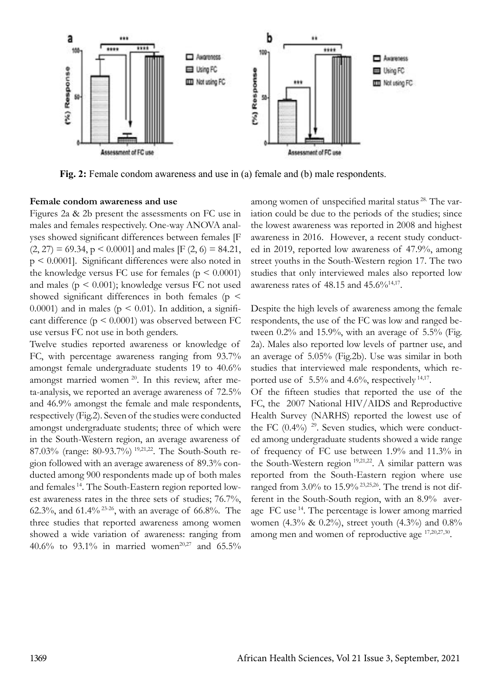

Fig. 2: Female condom awareness and use in (a) female and (b) male respondents.

#### **Female condom awareness and use**

Figures 2a & 2b present the assessments on FC use in males and females respectively. One-way ANOVA analyses showed significant differences between females [F  $(2, 27) = 69.34$ ,  $p \le 0.0001$  and males [F  $(2, 6) = 84.21$ , p < 0.0001]. Significant differences were also noted in the knowledge versus FC use for females ( $p \le 0.0001$ ) and males ( $p \leq 0.001$ ); knowledge versus FC not used showed significant differences in both females ( $p \leq$ 0.0001) and in males ( $p \le 0.01$ ). In addition, a significant difference  $(p \le 0.0001)$  was observed between FC use versus FC not use in both genders.

Twelve studies reported awareness or knowledge of FC, with percentage awareness ranging from 93.7% amongst female undergraduate students 19 to 40.6% amongst married women <sup>20</sup>. In this review, after meta-analysis, we reported an average awareness of 72.5% and 46.9% amongst the female and male respondents, respectively (Fig.2). Seven of the studies were conducted amongst undergraduate students; three of which were in the South-Western region, an average awareness of 87.03% (range: 80-93.7%) 19,21,22. The South-South region followed with an average awareness of 89.3% conducted among 900 respondents made up of both males and females 14. The South-Eastern region reported lowest awareness rates in the three sets of studies; 76.7%, 62.3%, and 61.4% 23-26, with an average of 66.8%. The three studies that reported awareness among women showed a wide variation of awareness: ranging from 40.6% to 93.1% in married women<sup>20,27</sup> and 65.5% among women of unspecified marital status 28. The variation could be due to the periods of the studies; since the lowest awareness was reported in 2008 and highest awareness in 2016. However, a recent study conducted in 2019, reported low awareness of 47.9%, among street youths in the South-Western region 17. The two studies that only interviewed males also reported low awareness rates of 48.15 and  $45.6\frac{\%}{14,17}$ .

Despite the high levels of awareness among the female respondents, the use of the FC was low and ranged between 0.2% and 15.9%, with an average of 5.5% (Fig. 2a). Males also reported low levels of partner use, and an average of 5.05% (Fig.2b). Use was similar in both studies that interviewed male respondents, which reported use of 5.5% and 4.6%, respectively <sup>14,17</sup>.

Of the fifteen studies that reported the use of the FC, the 2007 National HIV/AIDS and Reproductive Health Survey (NARHS) reported the lowest use of the FC  $(0.4\%)$  <sup>29</sup>. Seven studies, which were conducted among undergraduate students showed a wide range of frequency of FC use between 1.9% and 11.3% in the South-Western region <sup>19,21,22</sup>. A similar pattern was reported from the South-Eastern region where use ranged from 3.0% to 15.9% 23,25,26. The trend is not different in the South-South region, with an 8.9% average  $FC$  use  $^{14}$ . The percentage is lower among married women (4.3% & 0.2%), street youth (4.3%) and 0.8% among men and women of reproductive age 17,20,27,30.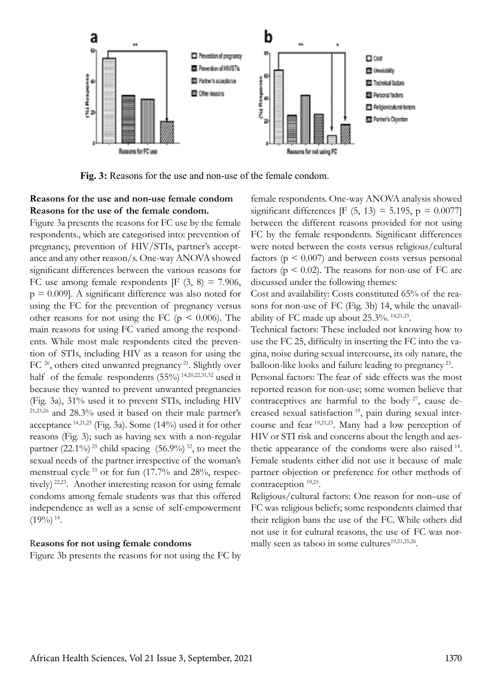

**Fig. 3:** Reasons for the use and non-use of the female condom.

## **Reasons for the use and non-use female condom Reasons for the use of the female condom.**

Figure 3a presents the reasons for FC use by the female respondents., which are categorised into: prevention of pregnancy, prevention of HIV/STIs, partner's acceptance and any other reason/s. One-way ANOVA showed significant differences between the various reasons for FC use among female respondents  $[F (3, 8) = 7.906,$  $p = 0.009$ . A significant difference was also noted for using the FC for the prevention of pregnancy versus other reasons for not using the FC ( $p \le 0.006$ ). The main reasons for using FC varied among the respondents. While most male respondents cited the prevention of STIs, including HIV as a reason for using the FC <sup>26</sup>, others cited unwanted pregnancy <sup>21</sup>. Slightly over half of the female respondents  $(55%)$ <sup>14,20,22,31,32</sup> used it because they wanted to prevent unwanted pregnancies (Fig. 3a), 31% used it to prevent STIs, including HIV 21,23,26 and 28.3% used it based on their male partner's acceptance 14,21,25 (Fig. 3a). Some (14%) used it for other reasons (Fig. 3); such as having sex with a non-regular partner (22.1%)<sup>25</sup> child spacing (56.9%)<sup>32</sup>, to meet the sexual needs of the partner irrespective of the woman's menstrual cycle 33 or for fun (17.7% and 28%, respectively)<sup>22,23</sup>. Another interesting reason for using female condoms among female students was that this offered independence as well as a sense of self-empowerment  $(19\%)$ <sup>14</sup>.

#### R**easons for not using female condoms**

Figure 3b presents the reasons for not using the FC by

female respondents. One-way ANOVA analysis showed significant differences [F (5, 13) = 5.195,  $p = 0.0077$ ] between the different reasons provided for not using FC by the female respondents. Significant differences were noted between the costs versus religious/cultural factors ( $p \leq 0.007$ ) and between costs versus personal factors ( $p \le 0.02$ ). The reasons for non-use of FC are discussed under the following themes:

Cost and availability: Costs constituted 65% of the reasons for non-use of FC (Fig. 3b) 14, while the unavailability of FC made up about  $25.3\%$ .  $14,21,25$ .

Technical factors: These included not knowing how to use the FC 25, difficulty in inserting the FC into the vagina, noise during sexual intercourse, its oily nature, the balloon-like looks and failure leading to pregnancy 23.

Personal factors: The fear of side effects was the most reported reason for non-use; some women believe that contraceptives are harmful to the body <sup>27</sup>, cause decreased sexual satisfaction<sup>19</sup>, pain during sexual intercourse and fear 19,21,23. Many had a low perception of HIV or STI risk and concerns about the length and aesthetic appearance of the condoms were also raised  $14$ . Female students either did not use it because of male partner objection or preference for other methods of contraception 19,25.

Religious/cultural factors: One reason for non–use of FC was religious beliefs; some respondents claimed that their religion bans the use of the FC. While others did not use it for cultural reasons, the use of FC was normally seen as taboo in some cultures<sup>19,21,25,26</sup>.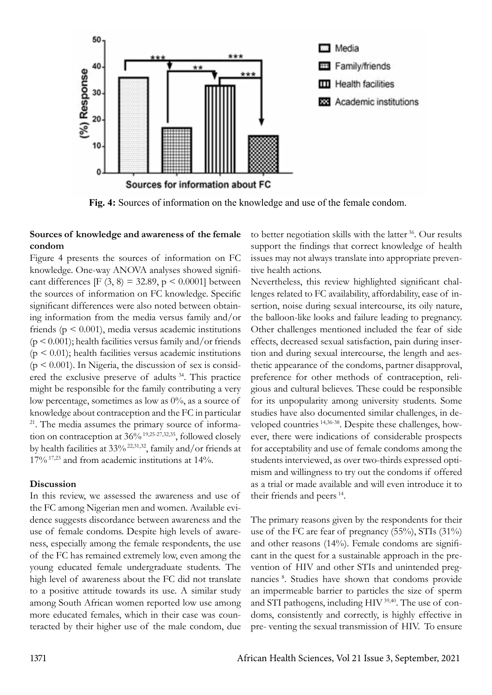

**Fig. 4:** Sources of information on the knowledge and use of the female condom.

#### **Sources of knowledge and awareness of the female condom**

Figure 4 presents the sources of information on FC knowledge. One-way ANOVA analyses showed significant differences [F (3, 8) = 32.89, p < 0.0001] between the sources of information on FC knowledge. Specific significant differences were also noted between obtaining information from the media versus family and/or friends ( $p \leq 0.001$ ), media versus academic institutions  $(p < 0.001)$ ; health facilities versus family and/or friends  $(p < 0.01)$ ; health facilities versus academic institutions  $(p < 0.001)$ . In Nigeria, the discussion of sex is considered the exclusive preserve of adults<sup>34</sup>. This practice might be responsible for the family contributing a very low percentage, sometimes as low as 0%, as a source of knowledge about contraception and the FC in particular <sup>21</sup>. The media assumes the primary source of information on contraception at 36% <sup>19,25-27,32,35</sup>, followed closely by health facilities at  $33\%$   $^{22,31,32}$ , family and/or friends at  $17\%$ <sup>17,23</sup> and from academic institutions at 14%.

#### **Discussion**

In this review, we assessed the awareness and use of the FC among Nigerian men and women. Available evidence suggests discordance between awareness and the use of female condoms. Despite high levels of awareness, especially among the female respondents, the use of the FC has remained extremely low, even among the young educated female undergraduate students. The high level of awareness about the FC did not translate to a positive attitude towards its use. A similar study among South African women reported low use among more educated females, which in their case was counteracted by their higher use of the male condom, due

to better negotiation skills with the latter  $36$ . Our results support the findings that correct knowledge of health issues may not always translate into appropriate preventive health actions.

Nevertheless, this review highlighted significant challenges related to FC availability, affordability, ease of insertion, noise during sexual intercourse, its oily nature, the balloon-like looks and failure leading to pregnancy. Other challenges mentioned included the fear of side effects, decreased sexual satisfaction, pain during insertion and during sexual intercourse, the length and aesthetic appearance of the condoms, partner disapproval, preference for other methods of contraception, religious and cultural believes. These could be responsible for its unpopularity among university students. Some studies have also documented similar challenges, in developed countries 14,36-38. Despite these challenges, however, there were indications of considerable prospects for acceptability and use of female condoms among the students interviewed, as over two-thirds expressed optimism and willingness to try out the condoms if offered as a trial or made available and will even introduce it to their friends and peers  $14$ .

The primary reasons given by the respondents for their use of the FC are fear of pregnancy (55%), STIs (31%) and other reasons (14%). Female condoms are significant in the quest for a sustainable approach in the prevention of HIV and other STIs and unintended pregnancies<sup>8</sup>. Studies have shown that condoms provide an impermeable barrier to particles the size of sperm and STI pathogens, including HIV 39,40. The use of condoms, consistently and correctly, is highly effective in pre- venting the sexual transmission of HIV. To ensure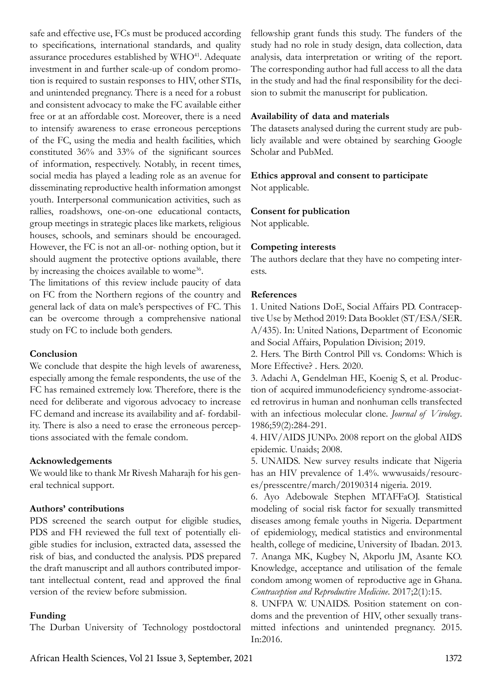safe and effective use, FCs must be produced according to specifications, international standards, and quality assurance procedures established by  $WHO<sup>41</sup>$ . Adequate investment in and further scale-up of condom promotion is required to sustain responses to HIV, other STIs, and unintended pregnancy. There is a need for a robust and consistent advocacy to make the FC available either free or at an affordable cost. Moreover, there is a need to intensify awareness to erase erroneous perceptions of the FC, using the media and health facilities, which constituted 36% and 33% of the significant sources of information, respectively. Notably, in recent times, social media has played a leading role as an avenue for disseminating reproductive health information amongst youth. Interpersonal communication activities, such as rallies, roadshows, one-on-one educational contacts, group meetings in strategic places like markets, religious houses, schools, and seminars should be encouraged. However, the FC is not an all-or- nothing option, but it should augment the protective options available, there by increasing the choices available to wome<sup>36</sup>.

The limitations of this review include paucity of data on FC from the Northern regions of the country and general lack of data on male's perspectives of FC. This can be overcome through a comprehensive national study on FC to include both genders.

#### **Conclusion**

We conclude that despite the high levels of awareness, especially among the female respondents, the use of the FC has remained extremely low. Therefore, there is the need for deliberate and vigorous advocacy to increase FC demand and increase its availability and af- fordability. There is also a need to erase the erroneous perceptions associated with the female condom.

#### **Acknowledgements**

We would like to thank Mr Rivesh Maharajh for his general technical support.

## **Authors' contributions**

PDS screened the search output for eligible studies, PDS and FH reviewed the full text of potentially eligible studies for inclusion, extracted data, assessed the risk of bias, and conducted the analysis. PDS prepared the draft manuscript and all authors contributed important intellectual content, read and approved the final version of the review before submission.

## **Funding**

The Durban University of Technology postdoctoral

fellowship grant funds this study. The funders of the study had no role in study design, data collection, data analysis, data interpretation or writing of the report. The corresponding author had full access to all the data in the study and had the final responsibility for the decision to submit the manuscript for publication.

## **Availability of data and materials**

The datasets analysed during the current study are publicly available and were obtained by searching Google Scholar and PubMed.

# **Ethics approval and consent to participate**

Not applicable.

## **Consent for publication**

Not applicable.

## **Competing interests**

The authors declare that they have no competing interests.

## **References**

1. United Nations DoE, Social Affairs PD. Contraceptive Use by Method 2019: Data Booklet (ST/ESA/SER. A/435). In: United Nations, Department of Economic and Social Affairs, Population Division; 2019.

2. Hers. The Birth Control Pill vs. Condoms: Which is More Effective? . Hers. 2020.

3. Adachi A, Gendelman HE, Koenig S, et al. Production of acquired immunodeficiency syndrome-associated retrovirus in human and nonhuman cells transfected with an infectious molecular clone. *Journal of Virology*. 1986;59(2):284-291.

4. HIV/AIDS JUNPo. 2008 report on the global AIDS epidemic. Unaids; 2008.

5. UNAIDS. New survey results indicate that Nigeria has an HIV prevalence of 1.4%. wwwusaids/resources/presscentre/march/20190314 nigeria. 2019.

6. Ayo Adebowale Stephen MTAFFaOJ. Statistical modeling of social risk factor for sexually transmitted diseases among female youths in Nigeria. Department of epidemiology, medical statistics and environmental health, college of medicine, University of Ibadan. 2013. 7. Ananga MK, Kugbey N, Akporlu JM, Asante KO. Knowledge, acceptance and utilisation of the female condom among women of reproductive age in Ghana. *Contraception and Reproductive Medicine*. 2017;2(1):15.

8. UNFPA W. UNAIDS. Position statement on condoms and the prevention of HIV, other sexually transmitted infections and unintended pregnancy. 2015. In:2016.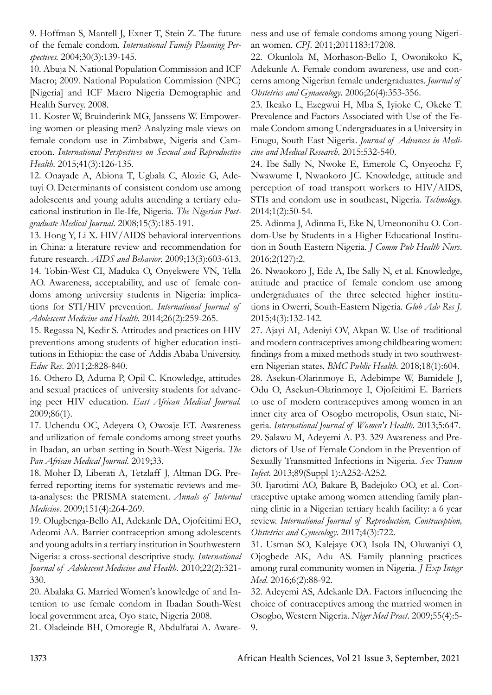9. Hoffman S, Mantell J, Exner T, Stein Z. The future of the female condom. *International Family Planning Perspectives.* 2004;30(3):139-145.

10. Abuja N. National Population Commission and ICF Macro; 2009. National Population Commission (NPC) [Nigeria] and ICF Macro Nigeria Demographic and Health Survey. 2008.

11. Koster W, Bruinderink MG, Janssens W. Empowering women or pleasing men? Analyzing male views on female condom use in Zimbabwe, Nigeria and Cameroon. *International Perspectives on Sexual and Reproductive Health*. 2015;41(3):126-135.

12. Onayade A, Abiona T, Ugbala C, Alozie G, Adetuyi O. Determinants of consistent condom use among adolescents and young adults attending a tertiary educational institution in Ile-Ife, Nigeria. *The Nigerian Postgraduate Medical Journal*. 2008;15(3):185-191.

13. Hong Y, Li X. HIV/AIDS behavioral interventions in China: a literature review and recommendation for future research. *AIDS and Behavior*. 2009;13(3):603-613. 14. Tobin-West CI, Maduka O, Onyekwere VN, Tella AO. Awareness, acceptability, and use of female condoms among university students in Nigeria: implications for STI/HIV prevention. *International Journal of Adolescent Medicine and Health*. 2014;26(2):259-265.

15. Regassa N, Kedir S. Attitudes and practices on HIV preventions among students of higher education institutions in Ethiopia: the case of Addis Ababa University. *Educ Res*. 2011;2:828-840.

16. Othero D, Aduma P, Opil C. Knowledge, attitudes and sexual practices of university students for advancing peer HIV education. *East African Medical Journal*. 2009;86(1).

17. Uchendu OC, Adeyera O, Owoaje ET. Awareness and utilization of female condoms among street youths in Ibadan, an urban setting in South-West Nigeria. *The Pan African Medical Journal*. 2019;33.

18. Moher D, Liberati A, Tetzlaff J, Altman DG. Preferred reporting items for systematic reviews and meta-analyses: the PRISMA statement. *Annals of Internal Medicine*. 2009;151(4):264-269.

19. Olugbenga-Bello AI, Adekanle DA, Ojofeitimi EΟ, Adeomi AA. Barrier contraception among adolescents and young adults in a tertiary institution in Southwestern Nigeria: a cross-sectional descriptive study. *International Journal of Adolescent Medicine and Health*. 2010;22(2):321- 330.

20. Abalaka G. Married Women's knowledge of and Intention to use female condom in Ibadan South-West local government area, Oyo state, Nigeria 2008.

21. Oladeinde BH, Omoregie R, Abdulfatai A. Aware-

ness and use of female condoms among young Nigerian women. *CPJ*. 2011;2011183:17208.

22. Okunlola M, Morhason-Bello I, Owonikoko K, Adekunle A. Female condom awareness, use and concerns among Nigerian female undergraduates. *Journal of Obstetrics and Gynaecology*. 2006;26(4):353-356.

23. Ikeako L, Ezegwui H, Mba S, Iyioke C, Okeke T. Prevalence and Factors Associated with Use of the Female Condom among Undergraduates in a University in Enugu, South East Nigeria. *Journal of Advances in Medicine and Medical Research*. 2015:532-540.

24. Ibe Sally N, Nwoke E, Emerole C, Onyeocha F, Nwawume I, Nwaokoro JC. Knowledge, attitude and perception of road transport workers to HIV/AIDS, STIs and condom use in southeast, Nigeria. *Technology*. 2014;1(2):50-54.

25. Adinma J, Adinma E, Eke N, Umeononihu O. Condom-Use by Students in a Higher Educational Institution in South Eastern Nigeria. *J Comm Pub Health Nurs*. 2016;2(127):2.

26. Nwaokoro J, Ede A, Ibe Sally N, et al. Knowledge, attitude and practice of female condom use among undergraduates of the three selected higher institutions in Owerri, South-Eastern Nigeria. *Glob Adv Res J*. 2015;4(3):132-142.

27. Ajayi AI, Adeniyi OV, Akpan W. Use of traditional and modern contraceptives among childbearing women: findings from a mixed methods study in two southwestern Nigerian states. *BMC Public Health*. 2018;18(1):604.

28. Asekun-Olarinmoye E, Adebimpe W, Bamidele J, Odu O, Asekun-Olarinmoye I, Ojofeitimi E. Barriers to use of modern contraceptives among women in an inner city area of Osogbo metropolis, Osun state, Nigeria. *International Journal of Women's Health*. 2013;5:647. 29. Salawu M, Adeyemi A. P3. 329 Awareness and Predictors of Use of Female Condom in the Prevention of

Sexually Transmitted Infections in Nigeria. *Sex Transm Infect*. 2013;89(Suppl 1):A252-A252.

30. Ijarotimi AO, Bakare B, Badejoko OO, et al. Contraceptive uptake among women attending family planning clinic in a Nigerian tertiary health facility: a 6 year review. *International Journal of Reproduction, Contraception, Obstetrics and Gynecology*. 2017;4(3):722.

31. Usman SO, Kalejaye OO, Isola IN, Oluwaniyi O, Ojogbede AK, Adu AS. Family planning practices among rural community women in Nigeria. *J Exp Integr Med*. 2016;6(2):88-92.

32. Adeyemi AS, Adekanle DA. Factors influencing the choice of contraceptives among the married women in Osogbo, Western Nigeria. *Niger Med Pract*. 2009;55(4):5- 9.